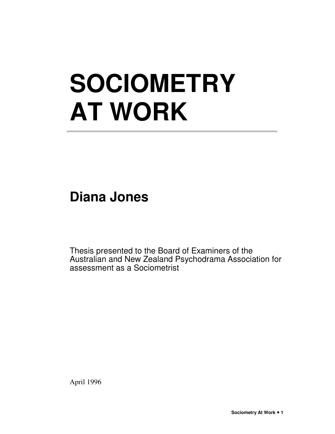# **SOCIOMETRY AT WORK**

**Diana Jones** 

Thesis presented to the Board of Examiners of the Australian and New Zealand Psychodrama Association for assessment as a Sociometrist

April 1996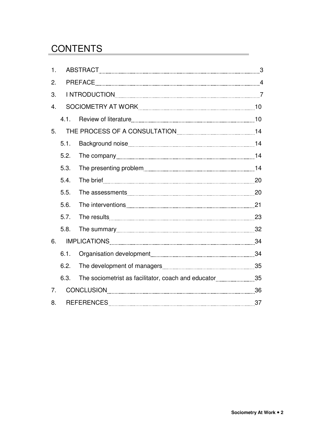## **CONTENTS**

| $\mathbf{1}$ .   |      |                                                       |  |
|------------------|------|-------------------------------------------------------|--|
| 2.               |      |                                                       |  |
| 3.               |      |                                                       |  |
| $\overline{4}$ . |      |                                                       |  |
|                  |      |                                                       |  |
| 5.               |      |                                                       |  |
|                  | 5.1. |                                                       |  |
|                  | 5.2. |                                                       |  |
|                  | 5.3. |                                                       |  |
|                  | 5.4. |                                                       |  |
|                  | 5.5. |                                                       |  |
|                  | 5.6. |                                                       |  |
|                  | 5.7. |                                                       |  |
|                  | 5.8. |                                                       |  |
| 6.               |      |                                                       |  |
|                  | 6.1. |                                                       |  |
|                  | 6.2. |                                                       |  |
|                  | 6.3. | The sociometrist as facilitator, coach and educator35 |  |
| 7 <sub>1</sub>   |      |                                                       |  |
| 8.               |      |                                                       |  |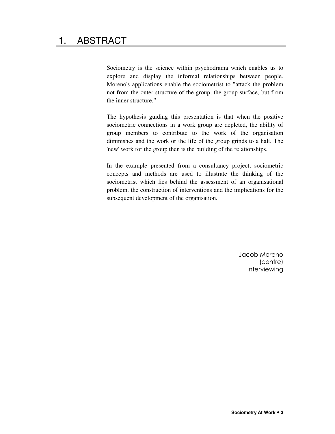Sociometry is the science within psychodrama which enables us to explore and display the informal relationships between people. Moreno's applications enable the sociometrist to "attack the problem not from the outer structure of the group, the group surface, but from the inner structure."

The hypothesis guiding this presentation is that when the positive sociometric connections in a work group are depleted, the ability of group members to contribute to the work of the organisation diminishes and the work or the life of the group grinds to a halt. The 'new' work for the group then is the building of the relationships.

In the example presented from a consultancy project, sociometric concepts and methods are used to illustrate the thinking of the sociometrist which lies behind the assessment of an organisational problem, the construction of interventions and the implications for the subsequent development of the organisation.

> Jacob Moreno (centre) interviewing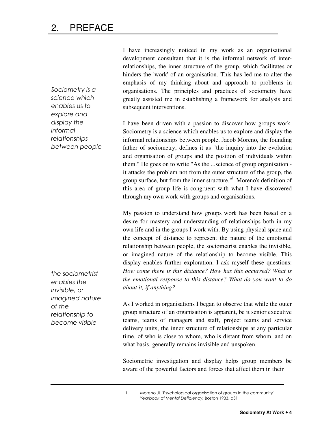Sociometry is a science which enables us to explore and display the informal relationships between people

the sociometrist enables the invisible, or imagined nature of the relationship to become visible

I have increasingly noticed in my work as an organisational development consultant that it is the informal network of interrelationships, the inner structure of the group, which facilitates or hinders the 'work' of an organisation. This has led me to alter the emphasis of my thinking about and approach to problems in organisations. The principles and practices of sociometry have greatly assisted me in establishing a framework for analysis and subsequent interventions.

I have been driven with a passion to discover how groups work. Sociometry is a science which enables us to explore and display the informal relationships between people. Jacob Moreno, the founding father of sociometry, defines it as "the inquiry into the evolution and organisation of groups and the position of individuals within them." He goes on to write "As the ...science of group organisation it attacks the problem not from the outer structure of the group, the group surface, but from the inner structure."<sup>1</sup> Moreno's definition of this area of group life is congruent with what I have discovered through my own work with groups and organisations.

My passion to understand how groups work has been based on a desire for mastery and understanding of relationships both in my own life and in the groups I work with. By using physical space and the concept of distance to represent the nature of the emotional relationship between people, the sociometrist enables the invisible, or imagined nature of the relationship to become visible. This display enables further exploration. I ask myself these questions: *How come there is this distance? How has this occurred? What is the emotional response to this distance? What do you want to do about it, if anything?* 

As I worked in organisations I began to observe that while the outer group structure of an organisation is apparent, be it senior executive teams, teams of managers and staff, project teams and service delivery units, the inner structure of relationships at any particular time, of who is close to whom, who is distant from whom, and on what basis, generally remains invisible and unspoken.

Sociometric investigation and display helps group members be aware of the powerful factors and forces that affect them in their

1. Moreno JL "Psychological organisation of groups in the community" Yearbook of Mental Deficiency, Boston 1933. p31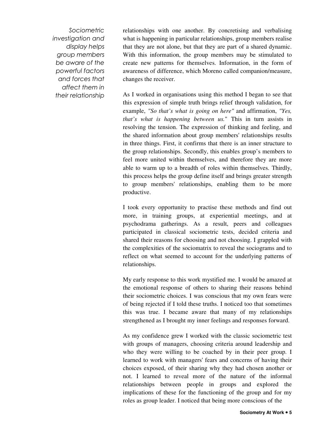Sociometric investigation and display helps group members be aware of the powerful factors and forces that affect them in their relationship

relationships with one another. By concretising and verbalising what is happening in particular relationships, group members realise that they are not alone, but that they are part of a shared dynamic. With this information, the group members may be stimulated to create new patterns for themselves. Information, in the form of awareness of difference, which Moreno called companion/measure, changes the receiver.

As I worked in organisations using this method I began to see that this expression of simple truth brings relief through validation, for example, *"So that's what is going on here"* and affirmation, *"Yes, that's what is happening between us.*" This in turn assists in resolving the tension. The expression of thinking and feeling, and the shared information about group members' relationships results in three things. First, it confirms that there is an inner structure to the group relationships. Secondly, this enables group's members to feel more united within themselves, and therefore they are more able to warm up to a breadth of roles within themselves. Thirdly, this process helps the group define itself and brings greater strength to group members' relationships, enabling them to be more productive.

I took every opportunity to practise these methods and find out more, in training groups, at experiential meetings, and at psychodrama gatherings. As a result, peers and colleagues participated in classical sociometric tests, decided criteria and shared their reasons for choosing and not choosing. I grappled with the complexities of the sociomatrix to reveal the sociograms and to reflect on what seemed to account for the underlying patterns of relationships.

My early response to this work mystified me. I would be amazed at the emotional response of others to sharing their reasons behind their sociometric choices. I was conscious that my own fears were of being rejected if I told these truths. I noticed too that sometimes this was true. I became aware that many of my relationships strengthened as I brought my inner feelings and responses forward.

As my confidence grew I worked with the classic sociometric test with groups of managers, choosing criteria around leadership and who they were willing to be coached by in their peer group. I learned to work with managers' fears and concerns of having their choices exposed, of their sharing why they had chosen another or not. I learned to reveal more of the nature of the informal relationships between people in groups and explored the implications of these for the functioning of the group and for my roles as group leader. I noticed that being more conscious of the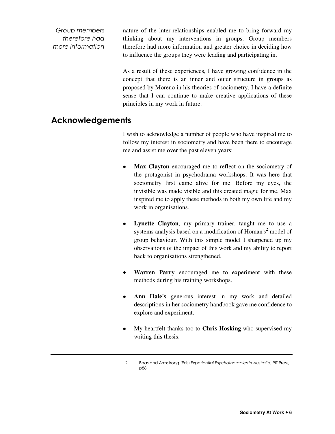Group members therefore had more information nature of the inter-relationships enabled me to bring forward my thinking about my interventions in groups. Group members therefore had more information and greater choice in deciding how to influence the groups they were leading and participating in.

As a result of these experiences, I have growing confidence in the concept that there is an inner and outer structure in groups as proposed by Moreno in his theories of sociometry. I have a definite sense that I can continue to make creative applications of these principles in my work in future.

## Acknowledgements

I wish to acknowledge a number of people who have inspired me to follow my interest in sociometry and have been there to encourage me and assist me over the past eleven years:

- Max Clayton encouraged me to reflect on the sociometry of the protagonist in psychodrama workshops. It was here that sociometry first came alive for me. Before my eyes, the invisible was made visible and this created magic for me. Max inspired me to apply these methods in both my own life and my work in organisations.
- Lynette Clayton, my primary trainer, taught me to use a systems analysis based on a modification of Homan's<sup>2</sup> model of group behaviour. With this simple model I sharpened up my observations of the impact of this work and my ability to report back to organisations strengthened.
- **Warren Parry** encouraged me to experiment with these methods during his training workshops.
- **Ann Hale's** generous interest in my work and detailed descriptions in her sociometry handbook gave me confidence to explore and experiment.
- My heartfelt thanks too to **Chris Hosking** who supervised my writing this thesis.

<sup>2.</sup> Boas and Armstrong (Eds) Experiential Psychotherapies in Australia, PIT Press, p88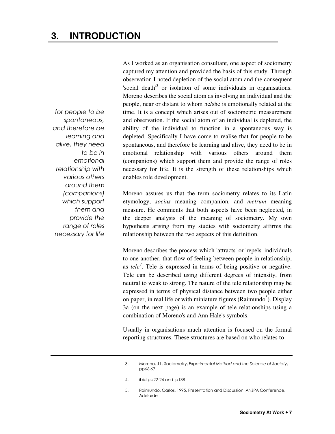for people to be spontaneous, and therefore be learning and alive, they need to be in emotional relationship with various others around them (companions) which support them and provide the range of roles necessary for life

As I worked as an organisation consultant, one aspect of sociometry captured my attention and provided the basis of this study. Through observation I noted depletion of the social atom and the consequent 'social death<sup>3</sup> or isolation of some individuals in organisations. Moreno describes the social atom as involving an individual and the people, near or distant to whom he/she is emotionally related at the time. It is a concept which arises out of sociometric measurement and observation. If the social atom of an individual is depleted, the ability of the individual to function in a spontaneous way is depleted. Specifically I have come to realise that for people to be spontaneous, and therefore be learning and alive, they need to be in emotional relationship with various others around them (companions) which support them and provide the range of roles necessary for life. It is the strength of these relationships which enables role development.

Moreno assures us that the term sociometry relates to its Latin etymology, *socius* meaning companion, and *metrum* meaning measure. He comments that both aspects have been neglected, in the deeper analysis of the meaning of sociometry. My own hypothesis arising from my studies with sociometry affirms the relationship between the two aspects of this definition.

Moreno describes the process which 'attracts' or 'repels' individuals to one another, that flow of feeling between people in relationship, as *tele<sup>4</sup>* . Tele is expressed in terms of being positive or negative. Tele can be described using different degrees of intensity, from neutral to weak to strong. The nature of the tele relationship may be expressed in terms of physical distance between two people either on paper, in real life or with miniature figures (Raimundo<sup>5</sup>). Display 3a (on the next page) is an example of tele relationships using a combination of Moreno's and Ann Hale's symbols.

Usually in organisations much attention is focused on the formal reporting structures. These structures are based on who relates to

- 4. ibid pp22-24 and p138
- 5. Raimundo, Carlos. 1995. Presentation and Discussion, ANZPA Conference, Adelaide

<sup>3.</sup> Moreno, J L. Sociometry, Experimental Method and the Science of Society, pp66-67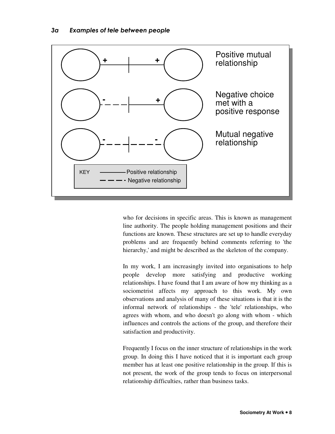

who for decisions in specific areas. This is known as management line authority. The people holding management positions and their functions are known. These structures are set up to handle everyday problems and are frequently behind comments referring to 'the hierarchy,' and might be described as the skeleton of the company.

In my work, I am increasingly invited into organisations to help people develop more satisfying and productive working relationships. I have found that I am aware of how my thinking as a sociometrist affects my approach to this work. My own observations and analysis of many of these situations is that it is the informal network of relationships - the 'tele' relationships, who agrees with whom, and who doesn't go along with whom - which influences and controls the actions of the group, and therefore their satisfaction and productivity.

Frequently I focus on the inner structure of relationships in the work group. In doing this I have noticed that it is important each group member has at least one positive relationship in the group. If this is not present, the work of the group tends to focus on interpersonal relationship difficulties, rather than business tasks.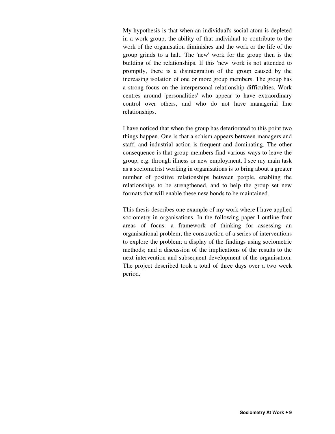My hypothesis is that when an individual's social atom is depleted in a work group, the ability of that individual to contribute to the work of the organisation diminishes and the work or the life of the group grinds to a halt. The 'new' work for the group then is the building of the relationships. If this 'new' work is not attended to promptly, there is a disintegration of the group caused by the increasing isolation of one or more group members. The group has a strong focus on the interpersonal relationship difficulties. Work centres around 'personalities' who appear to have extraordinary control over others, and who do not have managerial line relationships.

I have noticed that when the group has deteriorated to this point two things happen. One is that a schism appears between managers and staff, and industrial action is frequent and dominating. The other consequence is that group members find various ways to leave the group, e.g. through illness or new employment. I see my main task as a sociometrist working in organisations is to bring about a greater number of positive relationships between people, enabling the relationships to be strengthened, and to help the group set new formats that will enable these new bonds to be maintained.

This thesis describes one example of my work where I have applied sociometry in organisations. In the following paper I outline four areas of focus: a framework of thinking for assessing an organisational problem; the construction of a series of interventions to explore the problem; a display of the findings using sociometric methods; and a discussion of the implications of the results to the next intervention and subsequent development of the organisation. The project described took a total of three days over a two week period.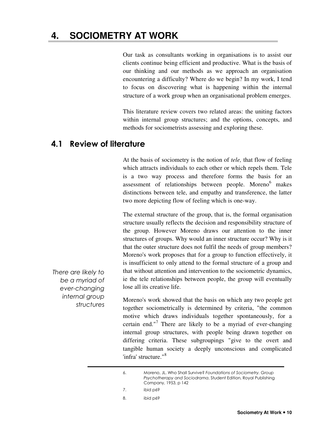## **4. SOCIOMETRY AT WORK**

Our task as consultants working in organisations is to assist our clients continue being efficient and productive. What is the basis of our thinking and our methods as we approach an organisation encountering a difficulty? Where do we begin? In my work, I tend to focus on discovering what is happening within the internal structure of a work group when an organisational problem emerges.

This literature review covers two related areas: the uniting factors within internal group structures; and the options, concepts, and methods for sociometrists assessing and exploring these.

## 4.1 Review of literature

At the basis of sociometry is the notion of *tele,* that flow of feeling which attracts individuals to each other or which repels them. Tele is a two way process and therefore forms the basis for an assessment of relationships between people. Moreno<sup>6</sup> makes distinctions between tele, and empathy and transference, the latter two more depicting flow of feeling which is one-way.

The external structure of the group, that is, the formal organisation structure usually reflects the decision and responsibility structure of the group. However Moreno draws our attention to the inner structures of groups. Why would an inner structure occur? Why is it that the outer structure does not fulfil the needs of group members? Moreno's work proposes that for a group to function effectively, it is insufficient to only attend to the formal structure of a group and that without attention and intervention to the sociometric dynamics, ie the tele relationships between people, the group will eventually lose all its creative life.

Moreno's work showed that the basis on which any two people get together sociometrically is determined by criteria, "the common motive which draws individuals together spontaneously, for a certain end."<sup>7</sup> There are likely to be a myriad of ever-changing internal group structures, with people being drawn together on differing criteria. These subgroupings "give to the overt and tangible human society a deeply unconscious and complicated 'infra' structure."<sup>8</sup>

| 6. | Moreno, JL. Who Shall Survive? Foundations of Sociometry. Group |
|----|-----------------------------------------------------------------|
|    | Psychotherapy and Sociodrama, Student Edition, Royal Publishing |
|    | Company, 1953, p 142                                            |
|    |                                                                 |

- 7. ibid p69
- 8. ibid p69

There are likely to be a myriad of ever-changing internal group structures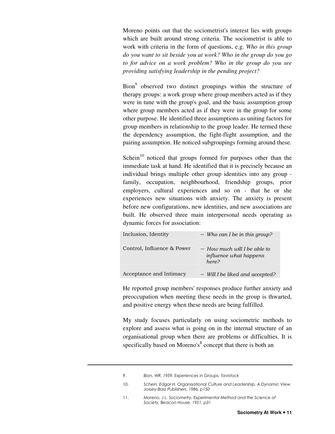Moreno points out that the sociometrist's interest lies with groups which are built around strong criteria. The sociometrist is able to work with criteria in the form of questions, e.g. *Who in this group do you want to sit beside you at work? Who in the group do you go to for advice on a work problem? Who in the group do you see providing satisfying leadership in the pending project?* 

Bion<sup>9</sup> observed two distinct groupings within the structure of therapy groups: a work group where group members acted as if they were in tune with the group's goal, and the basic assumption group where group members acted as if they were in the group for some other purpose. He identified three assumptions as uniting factors for group members in relationship to the group leader. He termed these the dependency assumption, the fight-flight assumption, and the pairing assumption. He noticed subgroupings forming around these.

Schein<sup>10</sup> noticed that groups formed for purposes other than the immediate task at hand. He identified that it is precisely because an individual brings multiple other group identities into any group family, occupation, neighbourhood, friendship groups, prior employers, cultural experiences and so on - that he or she experiences new situations with anxiety. The anxiety is present before new configurations, new identities, and new associations are built. He observed three main interpersonal needs operating as dynamic forces for association:

| Inclusion, Identity        | $-$ Who can I be in this group?                                          |
|----------------------------|--------------------------------------------------------------------------|
| Control, Influence & Power | $-$ How much will I be able to<br><i>influence what happens</i><br>here? |
| Acceptance and Intimacy    | - Will I be liked and accepted?                                          |

He reported group members' responses produce further anxiety and preoccupation when meeting these needs in the group is thwarted, and positive energy when these needs are being fulfilled.

My study focuses particularly on using sociometric methods to explore and assess what is going on in the internal structure of an organisational group when there are problems or difficulties. It is specifically based on Moreno's<sup>ll</sup> concept that there is both an

<sup>9.</sup> Bion, WR. 1959. Experiences in Groups. Tavistock

<sup>10.</sup> Schein, Edgar H. Organisational Culture and Leadership, A Dynamic View. Jossey-Bass Publishers, 1986, p150

<sup>11.</sup> Moreno, J.L. Sociometry, Experimental Method and the Science of Society, Beacon House, 1951, p31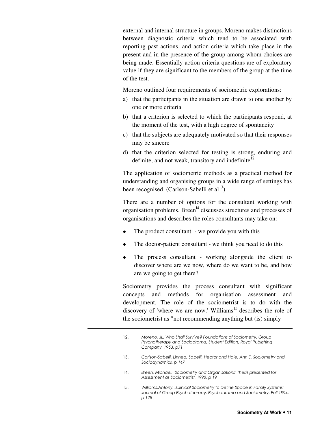external and internal structure in groups. Moreno makes distinctions between diagnostic criteria which tend to be associated with reporting past actions, and action criteria which take place in the present and in the presence of the group among whom choices are being made. Essentially action criteria questions are of exploratory value if they are significant to the members of the group at the time of the test.

Moreno outlined four requirements of sociometric explorations:

- a) that the participants in the situation are drawn to one another by one or more criteria
- b) that a criterion is selected to which the participants respond, at the moment of the test, with a high degree of spontaneity
- c) that the subjects are adequately motivated so that their responses may be sincere
- d) that the criterion selected for testing is strong, enduring and definite, and not weak, transitory and indefinite<sup>12</sup>

The application of sociometric methods as a practical method for understanding and organising groups in a wide range of settings has been recognised. (Carlson-Sabelli et  $al<sup>13</sup>$ ).

There are a number of options for the consultant working with organisation problems. Breen<sup>14</sup> discusses structures and processes of organisations and describes the roles consultants may take on:

- The product consultant we provide you with this
- The doctor-patient consultant we think you need to do this
- The process consultant working alongside the client to discover where are we now, where do we want to be, and how are we going to get there?

Sociometry provides the process consultant with significant concepts and methods for organisation assessment and development. The role of the sociometrist is to do with the discovery of 'where we are now.' Williams<sup>15</sup> describes the role of the sociometrist as "not recommending anything but (is) simply

- 13. Carlson-Sabelli, Linnea, Sabelli, Hector and Hale, Ann E. Sociometry and Sociodynamics, p 147
- 14. Breen, Michael, "Sociometry and Organisations" Thesis presented for Assessment as Sociometrist, 1990, p 19
- 15. Williams,Antony...Clinical Sociometry to Define Space in Family Systems" Journal of Group Psychotherapy, Psychodrama and Sociometry, Fall 1994, p 128

<sup>12.</sup> Moreno, JL. Who Shall Survive? Foundations of Sociometry, Group Psychotherapy and Sociodrama, Student Edition, Royal Publishing Company, 1953, p71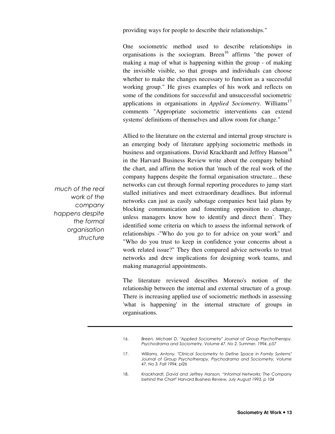providing ways for people to describe their relationships."

One sociometric method used to describe relationships in organisations is the sociogram. Breen<sup>16</sup> affirms "the power of making a map of what is happening within the group - of making the invisible visible, so that groups and individuals can choose whether to make the changes necessary to function as a successful working group." He gives examples of his work and reflects on some of the conditions for successful and unsuccessful sociometric applications in organisations in *Applied Sociometry*. Williams<sup>17</sup> comments "Appropriate sociometric interventions can extend systems' definitions of themselves and allow room for change."

Allied to the literature on the external and internal group structure is an emerging body of literature applying sociometric methods in business and organisations. David Krackhardt and Jeffrey Hanson<sup>18</sup> in the Harvard Business Review write about the company behind the chart, and affirm the notion that 'much of the real work of the company happens despite the formal organisation structure... these networks can cut through formal reporting procedures to jump start stalled initiatives and meet extraordinary deadlines. But informal networks can just as easily sabotage companies best laid plans by blocking communication and fomenting opposition to change, unless managers know how to identify and direct them'. They identified some criteria on which to assess the informal network of relationships -"Who do you go to for advice on your work" and "Who do you trust to keep in confidence your concerns about a work related issue?" They then compared advice networks to trust networks and drew implications for designing work teams, and making managerial appointments.

The literature reviewed describes Moreno's notion of the relationship between the internal and external structure of a group. There is increasing applied use of sociometric methods in assessing 'what is happening' in the internal structure of groups in organisations.

much of the real work of the company happens despite the formal organisation structure

<sup>16.</sup> Breen, Michael D. "Applied Sociometry" Journal of Group Psychotherapy, Psychodrama and Sociometry, Volume 47, No 2, Summer, 1994, p57

<sup>17.</sup> Williams, Antony. "Clinical Sociometry to Define Space in Family Systems" Journal of Group Psychotherapy, Psychodrama and Sociometry, Volume 47, No 3. Fall 1994, pl26

<sup>18.</sup> Krackhardt, David and Jeffrey Hanson. "Informal Networks: The Company behind the Chart" Harvard Business Review, July August 1993, p 104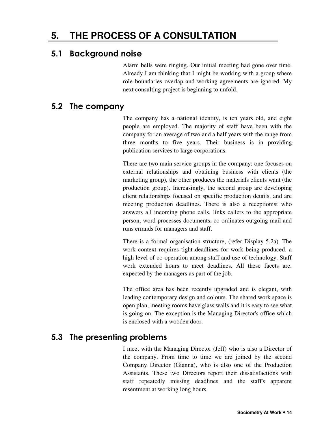## 5.1 Background noise

Alarm bells were ringing. Our initial meeting had gone over time. Already I am thinking that I might be working with a group where role boundaries overlap and working agreements are ignored. My next consulting project is beginning to unfold.

## 5.2 The company

The company has a national identity, is ten years old, and eight people are employed. The majority of staff have been with the company for an average of two and a half years with the range from three months to five years. Their business is in providing publication services to large corporations.

There are two main service groups in the company: one focuses on external relationships and obtaining business with clients (the marketing group), the other produces the materials clients want (the production group). Increasingly, the second group are developing client relationships focused on specific production details, and are meeting production deadlines. There is also a receptionist who answers all incoming phone calls, links callers to the appropriate person, word processes documents, co-ordinates outgoing mail and runs errands for managers and staff.

There is a formal organisation structure, (refer Display 5.2a). The work context requires tight deadlines for work being produced, a high level of co-operation among staff and use of technology. Staff work extended hours to meet deadlines. All these facets are. expected by the managers as part of the job.

The office area has been recently upgraded and is elegant, with leading contemporary design and colours. The shared work space is open plan, meeting rooms have glass walls and it is easy to see what is going on. The exception is the Managing Director's office which is enclosed with a wooden door.

## 5.3 The presenting problems

I meet with the Managing Director (Jeff) who is also a Director of the company. From time to time we are joined by the second Company Director (Gianna), who is also one of the Production Assistants. These two Directors report their dissatisfactions with staff repeatedly missing deadlines and the staff's apparent resentment at working long hours.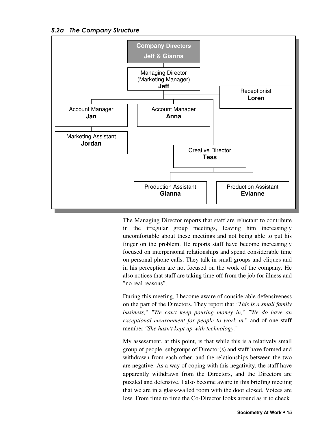#### 5.2a The Company Structure



The Managing Director reports that staff are reluctant to contribute in the irregular group meetings, leaving him increasingly uncomfortable about these meetings and not being able to put his finger on the problem. He reports staff have become increasingly focused on interpersonal relationships and spend considerable time on personal phone calls. They talk in small groups and cliques and in his perception are not focused on the work of the company. He also notices that staff are taking time off from the job for illness and "no real reasons".

During this meeting, I become aware of considerable defensiveness on the part of the Directors. They report that *"This is a small family business,*" *"We can't keep pouring money in,*" *"We do have an exceptional environment for people to work in,*" and of one staff member *"She hasn't kept up with technology.*"

My assessment, at this point, is that while this is a relatively small group of people, subgroups of Director(s) and staff have formed and withdrawn from each other, and the relationships between the two are negative. As a way of coping with this negativity, the staff have apparently withdrawn from the Directors, and the Directors are puzzled and defensive. I also become aware in this briefing meeting that we are in a glass-walled room with the door closed. Voices are low. From time to time the Co-Director looks around as if to check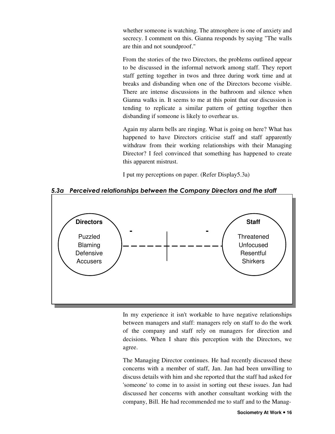whether someone is watching. The atmosphere is one of anxiety and secrecy. I comment on this. Gianna responds by saying "The walls are thin and not soundproof."

From the stories of the two Directors, the problems outlined appear to be discussed in the informal network among staff. They report staff getting together in twos and three during work time and at breaks and disbanding when one of the Directors become visible. There are intense discussions in the bathroom and silence when Gianna walks in. It seems to me at this point that our discussion is tending to replicate a similar pattern of getting together then disbanding if someone is likely to overhear us.

Again my alarm bells are ringing. What is going on here? What has happened to have Directors criticise staff and staff apparently withdraw from their working relationships with their Managing Director? I feel convinced that something has happened to create this apparent mistrust.

I put my perceptions on paper. (Refer Display5.3a)



5.3a Perceived relationships between the Company Directors and the staff

In my experience it isn't workable to have negative relationships between managers and staff: managers rely on staff to do the work of the company and staff rely on managers for direction and decisions. When I share this perception with the Directors, we agree.

The Managing Director continues. He had recently discussed these concerns with a member of staff, Jan. Jan had been unwilling to discuss details with him and she reported that the staff had asked for 'someone' to come in to assist in sorting out these issues. Jan had discussed her concerns with another consultant working with the company, Bill. He had recommended me to staff and to the Manag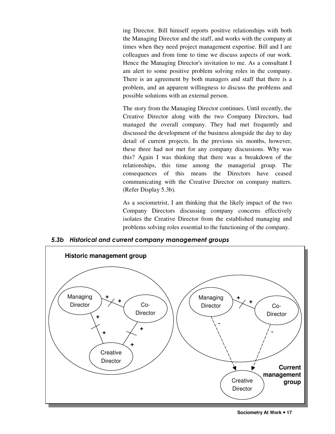ing Director. Bill himself reports positive relationships with both the Managing Director and the staff, and works with the company at times when they need project management expertise. Bill and I are colleagues and from time to time we discuss aspects of our work. Hence the Managing Director's invitation to me. As a consultant I am alert to some positive problem solving roles in the company. There is an agreement by both managers and staff that there is a problem, and an apparent willingness to discuss the problems and possible solutions with an external person.

The story from the Managing Director continues. Until recently, the Creative Director along with the two Company Directors, had managed the overall company. They had met frequently and discussed the development of the business alongside the day to day detail of current projects. In the previous six months, however, these three had not met for any company discussions. Why was this? Again I was thinking that there was a breakdown of the relationships, this time among the managerial group. The consequences of this means the Directors have ceased communicating with the Creative Director on company matters. (Refer Display 5.3b).

As a sociometrist, I am thinking that the likely impact of the two Company Directors discussing company concerns effectively isolates the Creative Director from the established managing and problems solving roles essential to the functioning of the company.



5.3b Historical and current company management groups

**Sociometry At Work 17**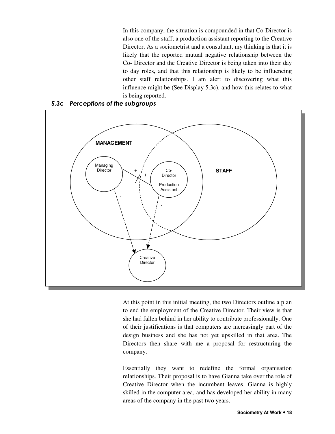In this company, the situation is compounded in that Co-Director is also one of the staff; a production assistant reporting to the Creative Director. As a sociometrist and a consultant, my thinking is that it is likely that the reported mutual negative relationship between the Co- Director and the Creative Director is being taken into their day to day roles, and that this relationship is likely to be influencing other staff relationships. I am alert to discovering what this influence might be (See Display 5.3c), and how this relates to what is being reported.



#### 5.3c Perceptions of the subgroups

At this point in this initial meeting, the two Directors outline a plan to end the employment of the Creative Director. Their view is that she had fallen behind in her ability to contribute professionally. One of their justifications is that computers are increasingly part of the design business and she has not yet upskilled in that area. The Directors then share with me a proposal for restructuring the company.

Essentially they want to redefine the formal organisation relationships. Their proposal is to have Gianna take over the role of Creative Director when the incumbent leaves. Gianna is highly skilled in the computer area, and has developed her ability in many areas of the company in the past two years.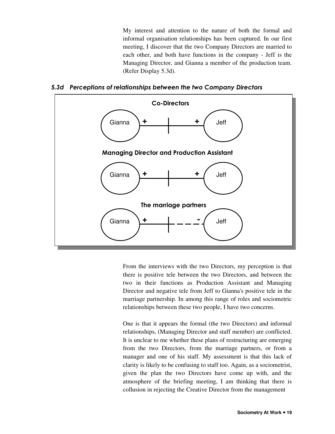My interest and attention to the nature of both the formal and informal organisation relationships has been captured. In our first meeting, I discover that the two Company Directors are married to each other, and both have functions in the company - Jeff is the Managing Director, and Gianna a member of the production team. (Refer Display 5.3d).





From the interviews with the two Directors, my perception is that there is positive tele between the two Directors, and between the two in their functions as Production Assistant and Managing Director and negative tele from Jeff to Gianna's positive tele in the marriage partnership. In among this range of roles and sociometric relationships between these two people, I have two concerns.

One is that it appears the formal (the two Directors) and informal relationships, (Managing Director and staff member) are conflicted. It is unclear to me whether these plans of restructuring are emerging from the two Directors, from the marriage partners, or from a manager and one of his staff. My assessment is that this lack of clarity is likely to be confusing to staff too. Again, as a sociometrist, given the plan the two Directors have come up with, and the atmosphere of the briefing meeting, I am thinking that there is collusion in rejecting the Creative Director from the management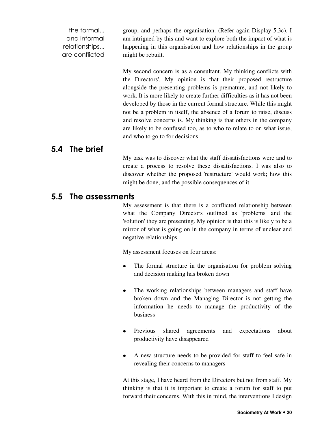the formal... and informal relationships... are conflicted group, and perhaps the organisation. (Refer again Display 5.3c). I am intrigued by this and want to explore both the impact of what is happening in this organisation and how relationships in the group might be rebuilt.

> My second concern is as a consultant. My thinking conflicts with the Directors'. My opinion is that their proposed restructure alongside the presenting problems is premature, and not likely to work. It is more likely to create further difficulties as it has not been developed by those in the current formal structure. While this might not be a problem in itself, the absence of a forum to raise, discuss and resolve concerns is. My thinking is that others in the company are likely to be confused too, as to who to relate to on what issue, and who to go to for decisions.

## 5.4 The brief

My task was to discover what the staff dissatisfactions were and to create a process to resolve these dissatisfactions. I was also to discover whether the proposed 'restructure' would work; how this might be done, and the possible consequences of it.

## 5.5 The assessments

My assessment is that there is a conflicted relationship between what the Company Directors outlined as 'problems' and the 'solution' they are presenting. My opinion is that this is likely to be a mirror of what is going on in the company in terms of unclear and negative relationships.

My assessment focuses on four areas:

- The formal structure in the organisation for problem solving and decision making has broken down
- The working relationships between managers and staff have broken down and the Managing Director is not getting the information he needs to manage the productivity of the business
- Previous shared agreements and expectations about productivity have disappeared
- A new structure needs to be provided for staff to feel safe in revealing their concerns to managers

At this stage, I have heard from the Directors but not from staff. My thinking is that it is important to create a forum for staff to put forward their concerns. With this in mind, the interventions I design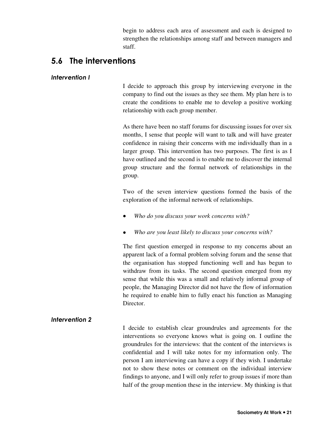begin to address each area of assessment and each is designed to strengthen the relationships among staff and between managers and staff.

## 5.6 The interventions

#### Intervention I

I decide to approach this group by interviewing everyone in the company to find out the issues as they see them. My plan here is to create the conditions to enable me to develop a positive working relationship with each group member.

As there have been no staff forums for discussing issues for over six months, I sense that people will want to talk and will have greater confidence in raising their concerns with me individually than in a larger group. This intervention has two purposes. The first is as I have outlined and the second is to enable me to discover the internal group structure and the formal network of relationships in the group.

Two of the seven interview questions formed the basis of the exploration of the informal network of relationships.

- *Who do you discuss your work concerns with?*
- *Who are you least likely to discuss your concerns with?*

The first question emerged in response to my concerns about an apparent lack of a formal problem solving forum and the sense that the organisation has stopped functioning well and has begun to withdraw from its tasks. The second question emerged from my sense that while this was a small and relatively informal group of people, the Managing Director did not have the flow of information he required to enable him to fully enact his function as Managing Director.

#### Intervention 2

I decide to establish clear groundrules and agreements for the interventions so everyone knows what is going on. I outline the groundrules for the interviews: that the content of the interviews is confidential and I will take notes for my information only. The person I am interviewing can have a copy if they wish. I undertake not to show these notes or comment on the individual interview findings to anyone, and I will only refer to group issues if more than half of the group mention these in the interview. My thinking is that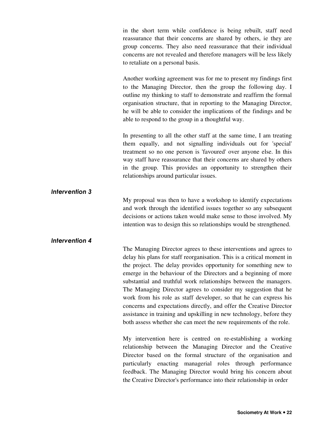in the short term while confidence is being rebuilt, staff need reassurance that their concerns are shared by others, ie they are group concerns. They also need reassurance that their individual concerns are not revealed and therefore managers will be less likely to retaliate on a personal basis.

Another working agreement was for me to present my findings first to the Managing Director, then the group the following day. I outline my thinking to staff to demonstrate and reaffirm the formal organisation structure, that in reporting to the Managing Director, he will be able to consider the implications of the findings and be able to respond to the group in a thoughtful way.

In presenting to all the other staff at the same time, I am treating them equally, and not signalling individuals out for 'special' treatment so no one person is 'favoured' over anyone else. In this way staff have reassurance that their concerns are shared by others in the group. This provides an opportunity to strengthen their relationships around particular issues.

My proposal was then to have a workshop to identify expectations and work through the identified issues together so any subsequent decisions or actions taken would make sense to those involved. My intention was to design this so relationships would be strengthened.

#### Intervention 4

Intervention 3

The Managing Director agrees to these interventions and agrees to delay his plans for staff reorganisation. This is a critical moment in the project. The delay provides opportunity for something new to emerge in the behaviour of the Directors and a beginning of more substantial and truthful work relationships between the managers. The Managing Director agrees to consider my suggestion that he work from his role as staff developer, so that he can express his concerns and expectations directly, and offer the Creative Director assistance in training and upskilling in new technology, before they both assess whether she can meet the new requirements of the role.

My intervention here is centred on re-establishing a working relationship between the Managing Director and the Creative Director based on the formal structure of the organisation and particularly enacting managerial roles through performance feedback. The Managing Director would bring his concern about the Creative Director's performance into their relationship in order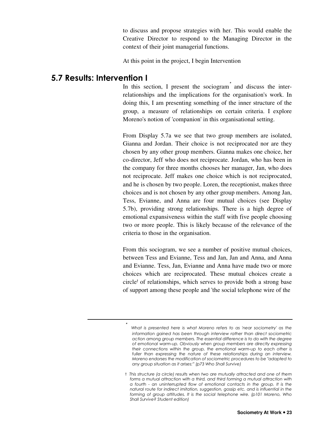to discuss and propose strategies with her. This would enable the Creative Director to respond to the Managing Director in the context of their joint managerial functions.

At this point in the project, I begin Intervention

## 5.7 Results: Intervention I

\*

In this section, I present the sociogram<sup>\*</sup> and discuss the interrelationships and the implications for the organisation's work. In doing this, I am presenting something of the inner structure of the group, a measure of relationships on certain criteria. I explore Moreno's notion of 'companion' in this organisational setting.

From Display 5.7a we see that two group members are isolated, Gianna and Jordan. Their choice is not reciprocated nor are they chosen by any other group members. Gianna makes one choice, her co-director, Jeff who does not reciprocate. Jordan, who has been in the company for three months chooses her manager, Jan, who does not reciprocate. Jeff makes one choice which is not reciprocated, and he is chosen by two people. Loren, the receptionist, makes three choices and is not chosen by any other group members. Among Jan, Tess, Evianne, and Anna are four mutual choices (see Display 5.7b), providing strong relationships. There is a high degree of emotional expansiveness within the staff with five people choosing two or more people. This is likely because of the relevance of the criteria to those in the organisation.

From this sociogram, we see a number of positive mutual choices, between Tess and Evianne, Tess and Jan, Jan and Anna, and Anna and Evianne. Tess, Jan, Evianne and Anna have made two or more choices which are reciprocated. These mutual choices create a circle<sup>t</sup> of relationships, which serves to provide both a strong base of support among these people and 'the social telephone wire of the

What is presented here is what Moreno refers to as 'near sociometry' as the information gained has been through interview rather than direct sociometric action among group members. The essential difference is to do with the degree of emotional warm-up. Obviously when group members are directly expressing their connections within the group, the emotional warm-up to each other is fuller than expressing the nature of these relationships during an interview. Moreno endorses the modification of sociometric procedures to be "adapted to any group situation as it arises:" (p73 Who Shall Survive)

t This structure (a circle) results when two are mutually attracted and one of them forms a mutual attraction with a third, and third forming a mutual attraction with a fourth - an uninterrupted flow of emotional contacts in the group. It is the natural route for indirect imitation, suggestion, gossip etc. and is influential in the forming of group attitudes. It is the social telephone wire. (p101 Moreno, Who Shall Survive? Student edition)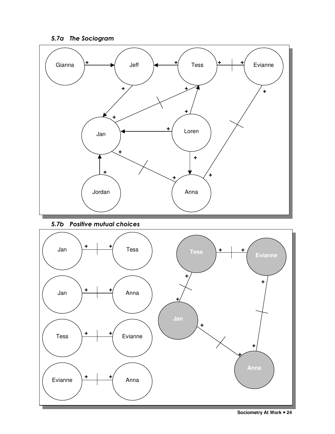5.7a The Sociogram



5.7b Positive mutual choices

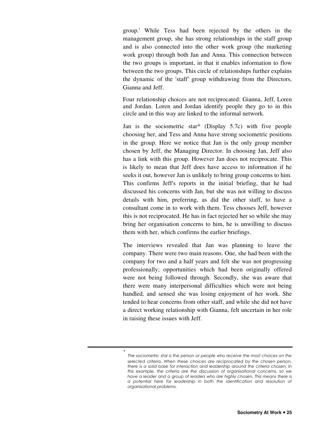group.' While Tess had been rejected by the others in the management group, she has strong relationships in the staff group and is also connected into the other work group (the marketing work group) through both Jan and Anna. This connection between the two groups is important, in that it enables information to flow between the two groups. This circle of relationships further explains the dynamic of the 'staff' group withdrawing from the Directors, Gianna and Jeff.

Four relationship choices are not reciprocated: Gianna, Jeff, Loren and Jordan. Loren and Jordan identify people they go to in this circle and in this way are linked to the informal network.

Jan is the sociometric star\* (Display 5.7c) with five people choosing her, and Tess and Anna have strong sociometric positions in the group. Here we notice that Jan is the only group member chosen by Jeff, the Managing Director. In choosing Jan, Jeff also has a link with this group. However Jan does not reciprocate. This is likely to mean that Jeff does have access to information if he seeks it out, however Jan is unlikely to bring group concerns to him. This confirms Jeff's reports in the initial briefing, that he had discussed his concerns with Jan, but she was not willing to discuss details with him, preferring, as did the other staff, to have a consultant come in to work with them. Tess chooses Jeff, however this is not reciprocated. He has in fact rejected her so while she may bring her organisation concerns to him, he is unwilling to discuss them with her, which confirms the earlier briefings.

The interviews revealed that Jan was planning to leave the company. There were two main reasons. One, she had been with the company for two and a half years and felt she was not progressing professionally; opportunities which had been originally offered were not being followed through. Secondly, she was aware that there were many interpersonal difficulties which were not being handled, and sensed she was losing enjoyment of her work. She tended to hear concerns from other staff, and while she did not have a direct working relationship with Gianna, felt uncertain in her role in raising these issues with Jeff.

 $\star$ The sociometric star is the person or people who receive the most choices on the selected criteria. When these choices are reciprocated by the chosen person, there is a solid base for interaction and leadership around the criteria chosen. In this example, the criteria are the discussion of organisational concerns, so we have a leader and a group of leaders who are highly chosen. This means there is a potential here for leadership in both the identification and resolution of organisational problems.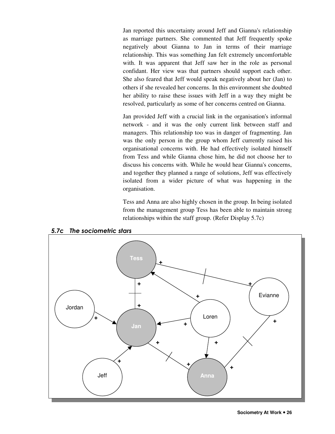Jan reported this uncertainty around Jeff and Gianna's relationship as marriage partners. She commented that Jeff frequently spoke negatively about Gianna to Jan in terms of their marriage relationship. This was something Jan felt extremely uncomfortable with. It was apparent that Jeff saw her in the role as personal confidant. Her view was that partners should support each other. She also feared that Jeff would speak negatively about her (Jan) to others if she revealed her concerns. In this environment she doubted her ability to raise these issues with Jeff in a way they might be resolved, particularly as some of her concerns centred on Gianna.

Jan provided Jeff with a crucial link in the organisation's informal network - and it was the only current link between staff and managers. This relationship too was in danger of fragmenting. Jan was the only person in the group whom Jeff currently raised his organisational concerns with. He had effectively isolated himself from Tess and while Gianna chose him, he did not choose her to discuss his concerns with. While he would hear Gianna's concerns, and together they planned a range of solutions, Jeff was effectively isolated from a wider picture of what was happening in the organisation.

Tess and Anna are also highly chosen in the group. In being isolated from the management group Tess has been able to maintain strong relationships within the staff group. (Refer Display 5.7c)



5.7c The sociometric stars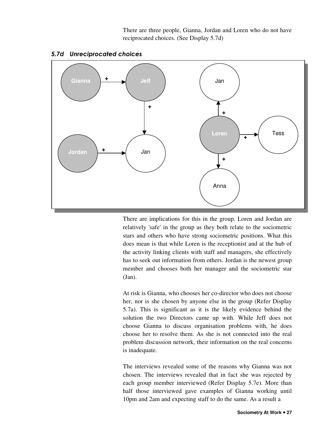There are three people, Gianna, Jordan and Loren who do not have reciprocated choices. (See Display 5.7d)



#### 5.7d Unreciprocated choices

There are implications for this in the group. Loren and Jordan are relatively 'safe' in the group as they both relate to the sociometric stars and others who have strong sociometric positions. What this does mean is that while Loren is the receptionist and at the hub of the activity linking clients with staff and managers, she effectively has to seek out information from others. Jordan is the newest group member and chooses both her manager and the sociometric star (Jan).

At risk is Gianna, who chooses her co-director who does not choose her, nor is she chosen by anyone else in the group (Refer Display 5.7a). This is significant as it is the likely evidence behind the solution the two Directors came up with. While Jeff does not choose Gianna to discuss organisation problems with, he does choose her to resolve them. As she is not connected into the real problem discussion network, their information on the real concerns is inadequate.

The interviews revealed some of the reasons why Gianna was not chosen. The interviews revealed that in fact she was rejected by each group member interviewed (Refer Display 5.7e). More than half those interviewed gave examples of Gianna working until 10pm and 2am and expecting staff to do the same. As a result a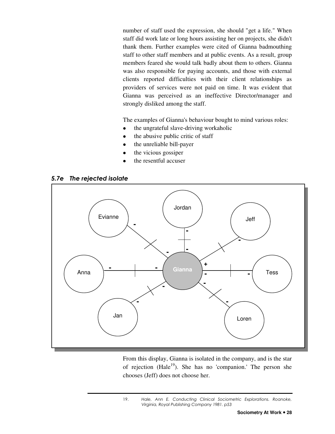number of staff used the expression, she should "get a life." When staff did work late or long hours assisting her on projects, she didn't thank them. Further examples were cited of Gianna badmouthing staff to other staff members and at public events. As a result, group members feared she would talk badly about them to others. Gianna was also responsible for paying accounts, and those with external clients reported difficulties with their client relationships as providers of services were not paid on time. It was evident that Gianna was perceived as an ineffective Director/manager and strongly disliked among the staff.

The examples of Gianna's behaviour bought to mind various roles:

- the ungrateful slave-driving workaholic
- the abusive public critic of staff
- the unreliable bill-payer
- the vicious gossiper
- the resentful accuser





From this display, Gianna is isolated in the company, and is the star of rejection (Hale<sup>19</sup>). She has no 'companion.' The person she chooses (Jeff) does not choose her.

19. Hale, Ann E. Conducting Clinical Sociometric Explorations. Roanoke, Virginia, Royal Publishing Company 1981. p53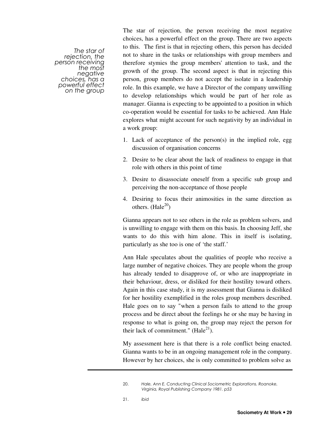The star of rejection, the person receiving the most negative choices, has a powerful effect on the group The star of rejection, the person receiving the most negative choices, has a powerful effect on the group. There are two aspects to this. The first is that in rejecting others, this person has decided not to share in the tasks or relationships with group members and therefore stymies the group members' attention to task, and the growth of the group. The second aspect is that in rejecting this person, group members do not accept the isolate in a leadership role. In this example, we have a Director of the company unwilling to develop relationships which would be part of her role as manager. Gianna is expecting to be appointed to a position in which co-operation would be essential for tasks to be achieved. Ann Hale explores what might account for such negativity by an individual in a work group:

- 1. Lack of acceptance of the person(s) in the implied role, egg discussion of organisation concerns
- 2. Desire to be clear about the lack of readiness to engage in that role with others in this point of time
- 3. Desire to disassociate oneself from a specific sub group and perceiving the non-acceptance of those people
- 4. Desiring to focus their animosities in the same direction as others.  $(Hale^{20})$

Gianna appears not to see others in the role as problem solvers, and is unwilling to engage with them on this basis. In choosing Jeff, she wants to do this with him alone. This in itself is isolating, particularly as she too is one of 'the staff.'

Ann Hale speculates about the qualities of people who receive a large number of negative choices. They are people whom the group has already tended to disapprove of, or who are inappropriate in their behaviour, dress, or disliked for their hostility toward others. Again in this case study, it is my assessment that Gianna is disliked for her hostility exemplified in the roles group members described. Hale goes on to say "when a person fails to attend to the group process and be direct about the feelings he or she may be having in response to what is going on, the group may reject the person for their lack of commitment." (Hale<sup>21</sup>).

My assessment here is that there is a role conflict being enacted. Gianna wants to be in an ongoing management role in the company. However by her choices, she is only committed to problem solve as

21. ibid

<sup>20.</sup> Hale, Ann E. Conducting Clinical Sociometric Explorations. Roanoke, Virginia, Royal Publishing Company 1981. p53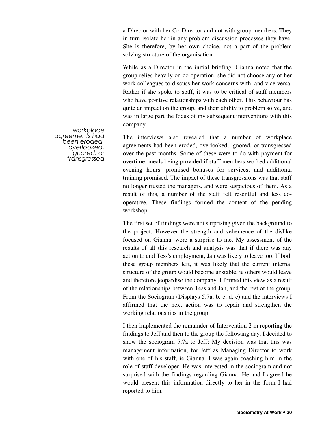a Director with her Co-Director and not with group members. They in turn isolate her in any problem discussion processes they have. She is therefore, by her own choice, not a part of the problem solving structure of the organisation.

While as a Director in the initial briefing, Gianna noted that the group relies heavily on co-operation, she did not choose any of her work colleagues to discuss her work concerns with, and vice versa. Rather if she spoke to staff, it was to be critical of staff members who have positive relationships with each other. This behaviour has quite an impact on the group, and their ability to problem solve, and was in large part the focus of my subsequent interventions with this company.

The interviews also revealed that a number of workplace agreements had been eroded, overlooked, ignored, or transgressed over the past months. Some of these were to do with payment for overtime, meals being provided if staff members worked additional evening hours, promised bonuses for services, and additional training promised. The impact of these transgressions was that staff no longer trusted the managers, and were suspicious of them. As a result of this, a number of the staff felt resentful and less cooperative. These findings formed the content of the pending workshop.

The first set of findings were not surprising given the background to the project. However the strength and vehemence of the dislike focused on Gianna, were a surprise to me. My assessment of the results of all this research and analysis was that if there was any action to end Tess's employment, Jan was likely to leave too. If both these group members left, it was likely that the current internal structure of the group would become unstable, ie others would leave and therefore jeopardise the company. I formed this view as a result of the relationships between Tess and Jan, and the rest of the group. From the Sociogram (Displays 5.7a, b, c, d, e) and the interviews I affirmed that the next action was to repair and strengthen the working relationships in the group.

I then implemented the remainder of Intervention 2 in reporting the findings to Jeff and then to the group the following day. I decided to show the sociogram 5.7a to Jeff: My decision was that this was management information, for Jeff as Managing Director to work with one of his staff, ie Gianna. I was again coaching him in the role of staff developer. He was interested in the sociogram and not surprised with the findings regarding Gianna. He and I agreed he would present this information directly to her in the form I had reported to him.

workplace agreements had been eroded, overlooked, ignored, or transgressed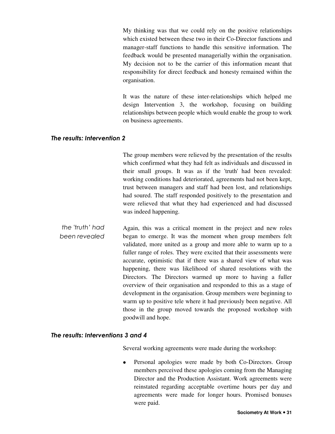My thinking was that we could rely on the positive relationships which existed between these two in their Co-Director functions and manager-staff functions to handle this sensitive information. The feedback would be presented managerially within the organisation. My decision not to be the carrier of this information meant that responsibility for direct feedback and honesty remained within the organisation.

It was the nature of these inter-relationships which helped me design Intervention 3, the workshop, focusing on building relationships between people which would enable the group to work on business agreements.

#### The results: Intervention 2

The group members were relieved by the presentation of the results which confirmed what they had felt as individuals and discussed in their small groups. It was as if the 'truth' had been revealed: working conditions had deteriorated, agreements had not been kept, trust between managers and staff had been lost, and relationships had soured. The staff responded positively to the presentation and were relieved that what they had experienced and had discussed was indeed happening.

the 'truth' had been revealed Again, this was a critical moment in the project and new roles began to emerge. It was the moment when group members felt validated, more united as a group and more able to warm up to a fuller range of roles. They were excited that their assessments were accurate, optimistic that if there was a shared view of what was happening, there was likelihood of shared resolutions with the Directors. The Directors warmed up more to having a fuller overview of their organisation and responded to this as a stage of development in the organisation. Group members were beginning to warm up to positive tele where it had previously been negative. All those in the group moved towards the proposed workshop with goodwill and hope.

#### The results: Interventions 3 and 4

Several working agreements were made during the workshop:

• Personal apologies were made by both Co-Directors. Group members perceived these apologies coming from the Managing Director and the Production Assistant. Work agreements were reinstated regarding acceptable overtime hours per day and agreements were made for longer hours. Promised bonuses were paid.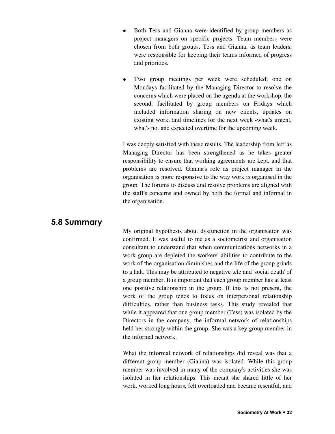- Both Tess and Gianna were identified by group members as project managers on specific projects. Team members were chosen from both groups. Tess and Gianna, as team leaders, were responsible for keeping their teams informed of progress and priorities.
- Two group meetings per week were scheduled; one on Mondays facilitated by the Managing Director to resolve the concerns which were placed on the agenda at the workshop, the second, facilitated by group members on Fridays which included information sharing on new clients, updates on existing work, and timelines for the next week -what's urgent, what's not and expected overtime for the upcoming week.

I was deeply satisfied with these results. The leadership from Jeff as Managing Director has been strengthened as he takes greater responsibility to ensure that working agreements are kept, and that problems are resolved. Gianna's role as project manager in the organisation is more responsive to the way work is organised in the group. The forums to discuss and resolve problems are aligned with the staff's concerns and owned by both the formal and informal in the organisation.

## 5.8 Summary

My original hypothesis about dysfunction in the organisation was confirmed. It was useful to me as a sociometrist and organisation consultant to understand that when communications networks in a work group are depleted the workers' abilities to contribute to the work of the organisation diminishes and the life of the group grinds to a halt. This may be attributed to negative tele and 'social death' of a group member. It is important that each group member has at least one positive relationship in the group. If this is not present, the work of the group tends to focus on interpersonal relationship difficulties, rather than business tasks. This study revealed that while it appeared that one group member (Tess) was isolated by the Directors in the company, the informal network of relationships held her strongly within the group. She was a key group member in the informal network.

What the informal network of relationships did reveal was that a different group member (Gianna) was isolated. While this group member was involved in many of the company's activities she was isolated in her relationships. This meant she shared little of her work, worked long hours, felt overloaded and became resentful, and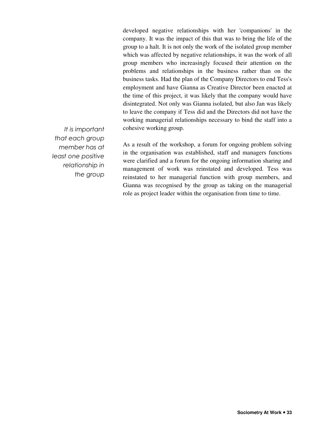developed negative relationships with her 'companions' in the company. It was the impact of this that was to bring the life of the group to a halt. It is not only the work of the isolated group member which was affected by negative relationships, it was the work of all group members who increasingly focused their attention on the problems and relationships in the business rather than on the business tasks. Had the plan of the Company Directors to end Tess's employment and have Gianna as Creative Director been enacted at the time of this project, it was likely that the company would have disintegrated. Not only was Gianna isolated, but also Jan was likely to leave the company if Tess did and the Directors did not have the working managerial relationships necessary to bind the staff into a cohesive working group.

It is important that each group member has at least one positive relationship in the group

As a result of the workshop, a forum for ongoing problem solving in the organisation was established, staff and managers functions were clarified and a forum for the ongoing information sharing and management of work was reinstated and developed. Tess was reinstated to her managerial function with group members, and Gianna was recognised by the group as taking on the managerial role as project leader within the organisation from time to time.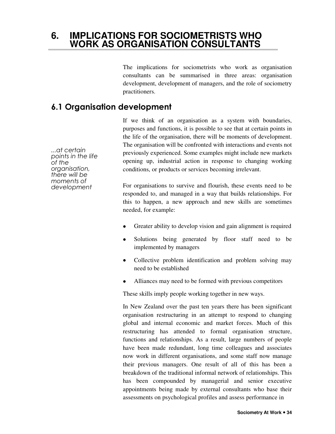## **6. IMPLICATIONS FOR SOCIOMETRISTS WHO WORK AS ORGANISATION CONSULTANTS**

The implications for sociometrists who work as organisation consultants can be summarised in three areas: organisation development, development of managers, and the role of sociometry practitioners.

## 6.1 Organisation development

...at certain points in the life of the organisation, there will be moments of development

If we think of an organisation as a system with boundaries, purposes and functions, it is possible to see that at certain points in the life of the organisation, there will be moments of development. The organisation will be confronted with interactions and events not previously experienced. Some examples might include new markets opening up, industrial action in response to changing working conditions, or products or services becoming irrelevant.

For organisations to survive and flourish, these events need to be responded to, and managed in a way that builds relationships. For this to happen, a new approach and new skills are sometimes needed, for example:

- Greater ability to develop vision and gain alignment is required
- Solutions being generated by floor staff need to be implemented by managers
- Collective problem identification and problem solving may need to be established
- Alliances may need to be formed with previous competitors

These skills imply people working together in new ways.

In New Zealand over the past ten years there has been significant organisation restructuring in an attempt to respond to changing global and internal economic and market forces. Much of this restructuring has attended to formal organisation structure, functions and relationships. As a result, large numbers of people have been made redundant, long time colleagues and associates now work in different organisations, and some staff now manage their previous managers. One result of all of this has been a breakdown of the traditional informal network of relationships. This has been compounded by managerial and senior executive appointments being made by external consultants who base their assessments on psychological profiles and assess performance in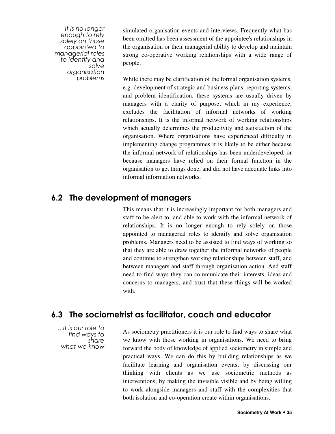It is no longer enough to rely solely on those appointed to managerial roles to identify and solve organisation problems

simulated organisation events and interviews. Frequently what has been omitted has been assessment of the appointee's relationships in the organisation or their managerial ability to develop and maintain strong co-operative working relationships with a wide range of people.

While there may be clarification of the formal organisation systems, e.g. development of strategic and business plans, reporting systems, and problem identification, these systems are usually driven by managers with a clarity of purpose, which in my experience, excludes the facilitation of informal networks of working relationships. It is the informal network of working relationships which actually determines the productivity and satisfaction of the organisation. Where organisations have experienced difficulty in implementing change programmes it is likely to be either because the informal network of relationships has been underdeveloped, or because managers have relied on their formal function in the organisation to get things done, and did not have adequate links into informal information networks.

## 6.2 The development of managers

This means that it is increasingly important for both managers and staff to be alert to, and able to work with the informal network of relationships. It is no longer enough to rely solely on those appointed to managerial roles to identify and solve organisation problems. Managers need to be assisted to find ways of working so that they are able to draw together the informal networks of people and continue to strengthen working relationships between staff, and between managers and staff through organisation action. And staff need to find ways they can communicate their interests, ideas and concerns to managers, and trust that these things will be worked with.

## 6.3 The sociometrist as facilitator, coach and educator

...it is our role to find ways to share what we know

As sociometry practitioners it is our role to find ways to share what we know with those working in organisations. We need to bring forward the body of knowledge of applied sociometry in simple and practical ways. We can do this by building relationships as we facilitate learning and organisation events; by discussing our thinking with clients as we use sociometric methods as interventions; by making the invisible visible and by being willing to work alongside managers and staff with the complexities that both isolation and co-operation create within organisations.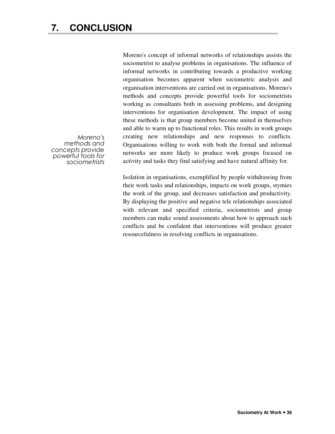Moreno's concept of informal networks of relationships assists the sociometrist to analyse problems in organisations. The influence of informal networks in contributing towards a productive working organisation becomes apparent when sociometric analysis and organisation interventions are carried out in organisations. Moreno's methods and concepts provide powerful tools for sociometrists working as consultants both in assessing problems, and designing interventions for organisation development. The impact of using these methods is that group members become united in themselves and able to warm up to functional roles. This results in work groups creating new relationships and new responses to conflicts. Organisations willing to work with both the formal and informal networks are more likely to produce work groups focused on activity and tasks they find satisfying and have natural affinity for.

Isolation in organisations, exemplified by people withdrawing from their work tasks and relationships, impacts on work groups, stymies the work of the group, and decreases satisfaction and productivity. By displaying the positive and negative tele relationships associated with relevant and specified criteria, sociometrists and group members can make sound assessments about how to approach such conflicts and be confident that interventions will produce greater resourcefulness in resolving conflicts in organisations.

Moreno's methods and concepts provide powerful tools for sociometrists